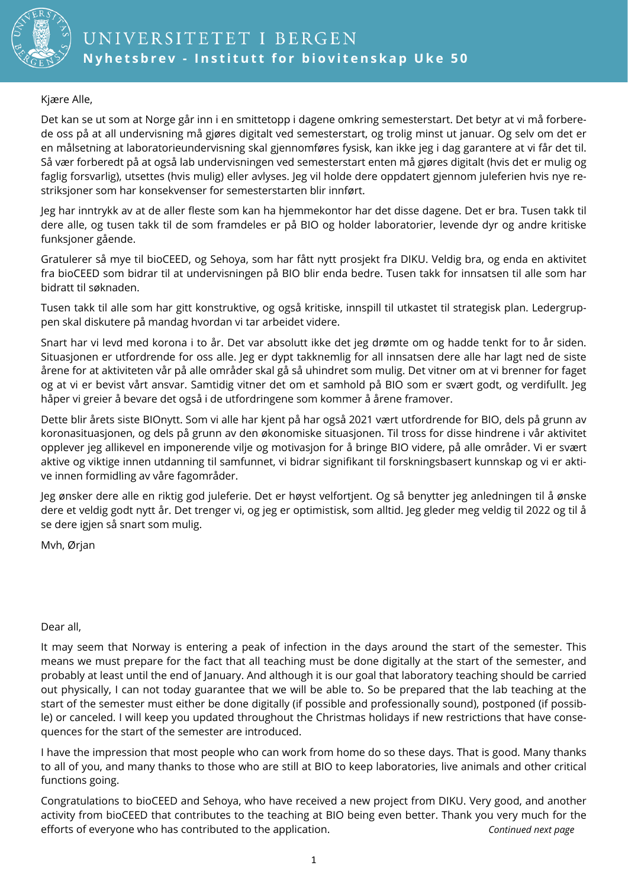

Kjære Alle,

Det kan se ut som at Norge går inn i en smittetopp i dagene omkring semesterstart. Det betyr at vi må forberede oss på at all undervisning må gjøres digitalt ved semesterstart, og trolig minst ut januar. Og selv om det er en målsetning at laboratorieundervisning skal gjennomføres fysisk, kan ikke jeg i dag garantere at vi får det til. Så vær forberedt på at også lab undervisningen ved semesterstart enten må gjøres digitalt (hvis det er mulig og faglig forsvarlig), utsettes (hvis mulig) eller avlyses. Jeg vil holde dere oppdatert gjennom juleferien hvis nye restriksjoner som har konsekvenser for semesterstarten blir innført.

Jeg har inntrykk av at de aller fleste som kan ha hjemmekontor har det disse dagene. Det er bra. Tusen takk til dere alle, og tusen takk til de som framdeles er på BIO og holder laboratorier, levende dyr og andre kritiske funksjoner gående.

Gratulerer så mye til bioCEED, og Sehoya, som har fått nytt prosjekt fra DIKU. Veldig bra, og enda en aktivitet fra bioCEED som bidrar til at undervisningen på BIO blir enda bedre. Tusen takk for innsatsen til alle som har bidratt til søknaden.

Tusen takk til alle som har gitt konstruktive, og også kritiske, innspill til utkastet til strategisk plan. Ledergruppen skal diskutere på mandag hvordan vi tar arbeidet videre.

Snart har vi levd med korona i to år. Det var absolutt ikke det jeg drømte om og hadde tenkt for to år siden. Situasjonen er utfordrende for oss alle. Jeg er dypt takknemlig for all innsatsen dere alle har lagt ned de siste årene for at aktiviteten vår på alle områder skal gå så uhindret som mulig. Det vitner om at vi brenner for faget og at vi er bevist vårt ansvar. Samtidig vitner det om et samhold på BIO som er svært godt, og verdifullt. Jeg håper vi greier å bevare det også i de utfordringene som kommer å årene framover.

Dette blir årets siste BIOnytt. Som vi alle har kjent på har også 2021 vært utfordrende for BIO, dels på grunn av koronasituasjonen, og dels på grunn av den økonomiske situasjonen. Til tross for disse hindrene i vår aktivitet opplever jeg allikevel en imponerende vilje og motivasjon for å bringe BIO videre, på alle områder. Vi er svært aktive og viktige innen utdanning til samfunnet, vi bidrar signifikant til forskningsbasert kunnskap og vi er aktive innen formidling av våre fagområder.

Jeg ønsker dere alle en riktig god juleferie. Det er høyst velfortjent. Og så benytter jeg anledningen til å ønske dere et veldig godt nytt år. Det trenger vi, og jeg er optimistisk, som alltid. Jeg gleder meg veldig til 2022 og til å se dere igjen så snart som mulig.

Mvh, Ørjan

#### Dear all,

It may seem that Norway is entering a peak of infection in the days around the start of the semester. This means we must prepare for the fact that all teaching must be done digitally at the start of the semester, and probably at least until the end of January. And although it is our goal that laboratory teaching should be carried out physically, I can not today guarantee that we will be able to. So be prepared that the lab teaching at the start of the semester must either be done digitally (if possible and professionally sound), postponed (if possible) or canceled. I will keep you updated throughout the Christmas holidays if new restrictions that have consequences for the start of the semester are introduced.

I have the impression that most people who can work from home do so these days. That is good. Many thanks to all of you, and many thanks to those who are still at BIO to keep laboratories, live animals and other critical functions going.

Congratulations to bioCEED and Sehoya, who have received a new project from DIKU. Very good, and another activity from bioCEED that contributes to the teaching at BIO being even better. Thank you very much for the efforts of everyone who has contributed to the application. *Continued next page*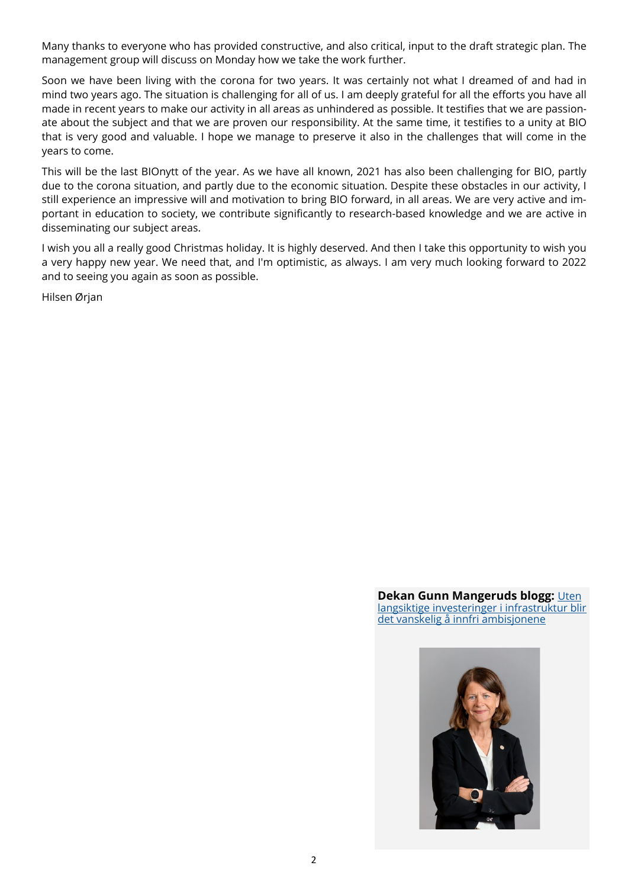Many thanks to everyone who has provided constructive, and also critical, input to the draft strategic plan. The management group will discuss on Monday how we take the work further.

Soon we have been living with the corona for two years. It was certainly not what I dreamed of and had in mind two years ago. The situation is challenging for all of us. I am deeply grateful for all the efforts you have all made in recent years to make our activity in all areas as unhindered as possible. It testifies that we are passionate about the subject and that we are proven our responsibility. At the same time, it testifies to a unity at BIO that is very good and valuable. I hope we manage to preserve it also in the challenges that will come in the years to come.

This will be the last BIOnytt of the year. As we have all known, 2021 has also been challenging for BIO, partly due to the corona situation, and partly due to the economic situation. Despite these obstacles in our activity, I still experience an impressive will and motivation to bring BIO forward, in all areas. We are very active and important in education to society, we contribute significantly to research-based knowledge and we are active in disseminating our subject areas.

I wish you all a really good Christmas holiday. It is highly deserved. And then I take this opportunity to wish you a very happy new year. We need that, and I'm optimistic, as always. I am very much looking forward to 2022 and to seeing you again as soon as possible.

Hilsen Ørjan

**Dekan Gunn Mangeruds blogg: Uten** [langsiktige investeringer i infrastruktur blir](https://matnat.w.uib.no/arkiv/1516)  [det vanskelig å innfri ambisjonene](https://matnat.w.uib.no/arkiv/1516)

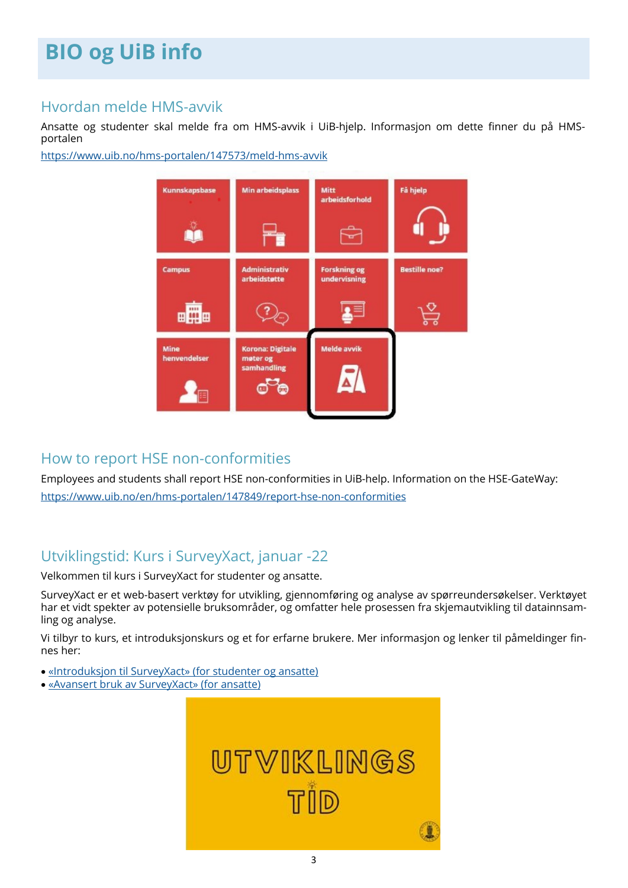# **BIO og UiB info**

### Hvordan melde HMS-avvik

Ansatte og studenter skal melde fra om HMS-avvik i UiB-hjelp. Informasjon om dette finner du på HMSportalen

[https://www.uib.no/hms](https://www.uib.no/hms-portalen/147573/meld-hms-avvik)-portalen/147573/meld-hms-avvik



## How to report HSE non-conformities

Employees and students shall report HSE non-conformities in UiB-help. Information on the HSE-GateWay: [https://www.uib.no/en/hms](https://www.uib.no/en/hms-portalen/147849/report-hse-non-conformities)-portalen/147849/report-hse-non-conformities

## Utviklingstid: Kurs i SurveyXact, januar -22

Velkommen til kurs i SurveyXact for studenter og ansatte.

SurveyXact er et web-basert verktøy for utvikling, gjennomføring og analyse av spørreundersøkelser. Verktøyet har et vidt spekter av potensielle bruksområder, og omfatter hele prosessen fra skjemautvikling til datainnsamling og analyse.

Vi tilbyr to kurs, et introduksjonskurs og et for erfarne brukere. Mer informasjon og lenker til påmeldinger finnes her:

- [«Introduksjon til SurveyXact» \(for studenter og ansatte\)](https://www.uib.no/hr/149849/%C2%ABintroduksjon-til-surveyxact%C2%BB-studenter-og-ansatte)
- [«Avansert bruk av SurveyXact» \(for ansatte\)](https://www.uib.no/hr/149859/%C2%ABavansert-bruk-av-surveyxact%C2%BB-ansatte)

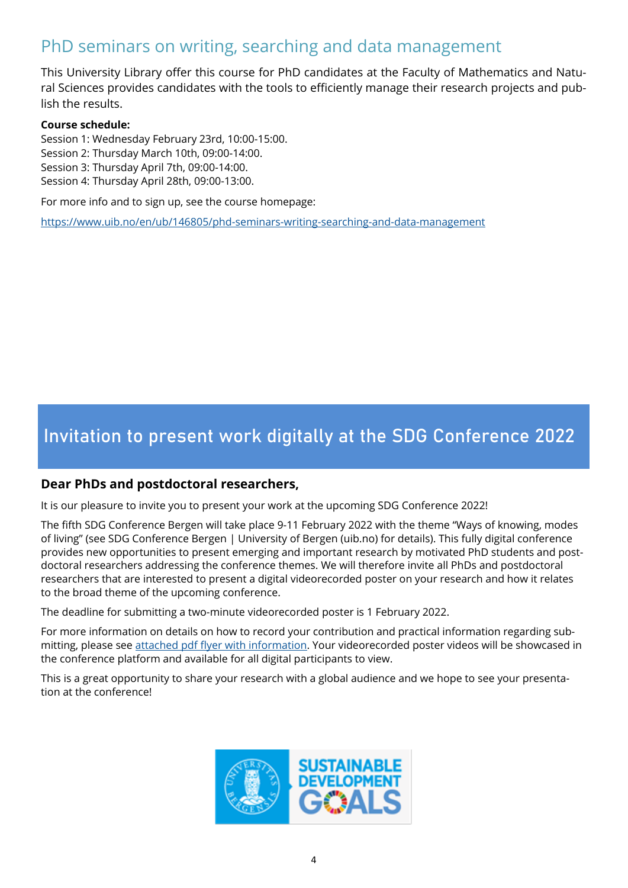## PhD seminars on writing, searching and data management

This University Library offer this course for PhD candidates at the Faculty of Mathematics and Natural Sciences provides candidates with the tools to efficiently manage their research projects and publish the results.

#### **Course schedule:**

Session 1: Wednesday February 23rd, 10:00-15:00.

- Session 2: Thursday March 10th, 09:00-14:00.
- Session 3: Thursday April 7th, 09:00-14:00.
- Session 4: Thursday April 28th, 09:00-13:00.

For more info and to sign up, see the course homepage:

[https://www.uib.no/en/ub/146805/phd](https://www.uib.no/en/ub/146805/phd-seminars-writing-searching-and-data-management)-seminars-writing-searching-and-data-management

# **Invitation to present work digitally at the SDG Conference 2022**

### **Dear PhDs and postdoctoral researchers,**

It is our pleasure to invite you to present your work at the upcoming SDG Conference 2022!

The fifth SDG Conference Bergen will take place 9-11 February 2022 with the theme "Ways of knowing, modes of living" (see SDG Conference Bergen | University of Bergen (uib.no) for details). This fully digital conference provides new opportunities to present emerging and important research by motivated PhD students and postdoctoral researchers addressing the conference themes. We will therefore invite all PhDs and postdoctoral researchers that are interested to present a digital videorecorded poster on your research and how it relates to the broad theme of the upcoming conference.

The deadline for submitting a two-minute videorecorded poster is 1 February 2022.

For more information on details on how to record your contribution and practical information regarding submitting, please see [attached pdf flyer with information.](https://ekstern.filer.uib.no/bio/Informasjon/2021/Invitation.present.digitally.SDG.Conference.2022.pdf) Your videorecorded poster videos will be showcased in the conference platform and available for all digital participants to view.

This is a great opportunity to share your research with a global audience and we hope to see your presentation at the conference!